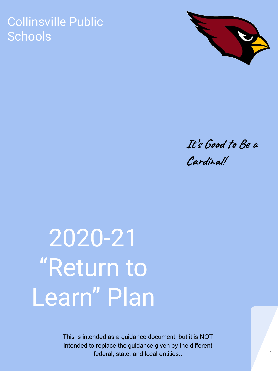## Collinsville Public **Schools**



## **It's Good to Be a Cardinal!**

# 2020-21 "Return to Learn" Plan

This is intended as a guidance document, but it is NOT intended to replace the guidance given by the different federal, state, and local entities.. 1 1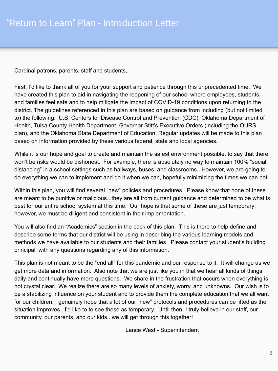Cardinal patrons, parents, staff and students,

First, I'd like to thank all of you for your support and patience through this unprecedented time. We have created this plan to aid in navigating the reopening of our school where employees, students, and families feel safe and to help mitigate the impact of COVID-19 conditions upon returning to the district. The guidelines referenced in this plan are based on guidance from including (but not limited to) the following: U.S. Centers for Disease Control and Prevention (CDC), Oklahoma Department of Health, Tulsa County Health Department, Governor Stitt's Executive Orders (including the OURS plan), and the Oklahoma State Department of Education. Regular updates will be made to this plan based on information provided by these various federal, state and local agencies.

While it is our hope and goal to create and maintain the safest environment possible, to say that there won't be risks would be dishonest. For example, there is absolutely no way to maintain 100% "social distancing" in a school settings such as hallways, buses, and classrooms.. However, we are going to do everything we can to implement and do it when we can, hopefully minimizing the times we can not.

Within this plan, you will find several "new" policies and procedures. Please know that none of these are meant to be punitive or malicious...they are all from current guidance and determined to be what is best for our entire school system at this time. Our hope is that some of these are just temporary; however, we must be diligent and consistent in their implementation.

You will also find an "Academics" section in the back of this plan. This is there to help define and describe some terms that our district will be using in describing the various learning models and methods we have available to our students and their families. Please contact your student's building principal with any questions regarding any of this information.

This plan is not meant to be the "end all" for this pandemic and our response to it. It will change as we get more data and information. Also note that we are just like you in that we hear all kinds of things daily and continually have more questions. We share in the frustration that occurs when everything is not crystal clear. We realize there are so many levels of anxiety, worry, and unknowns. Our wish is to be a stabilizing influence on your student and to provide them the complete education that we all want for our children. I genuinely hope that a lot of our "new" protocols and procedures can be lifted as the situation improves...I'd like to to see these as temporary. Until then, I truly believe in our staff, our community, our parents, and our kids...we will get through this together!

Lance West - Superintendent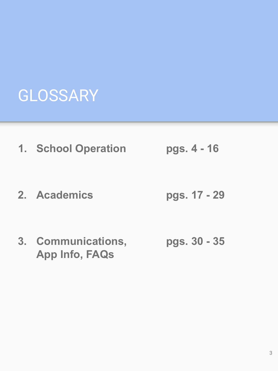## GLOSSARY

- **1. School Operation pgs. 4 16**
- **2. Academics pgs. 17 29**
- **3. Communications, pgs. 30 35 App Info, FAQs**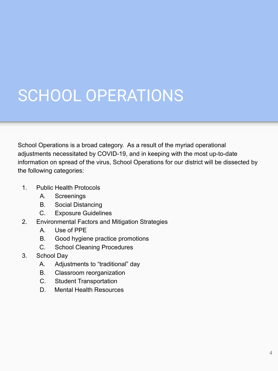## SCHOOL OPERATIONS

School Operations is a broad category. As a result of the myriad operational adjustments necessitated by COVID-19, and in keeping with the most up-to-date information on spread of the virus, School Operations for our district will be dissected by the following categories:

- 1. Public Health Protocols
	- A. Screenings
	- B. Social Distancing
	- C. Exposure Guidelines
- 2. Environmental Factors and Mitigation Strategies
	- A. Use of PPE
	- B. Good hygiene practice promotions
	- C. School Cleaning Procedures
- 3. School Day
	- A. Adjustments to "traditional" day
	- B. Classroom reorganization
	- C. Student Transportation
	- D. Mental Health Resources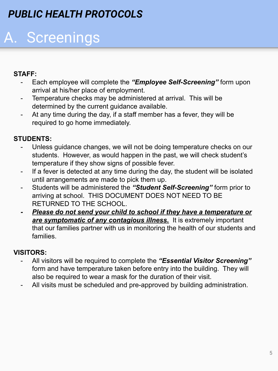## *PUBLIC HEALTH PROTOCOLS*

## A. Screenings

## **STAFF:**

- Each employee will complete the *"Employee Self-Screening"* form upon arrival at his/her place of employment.
- Temperature checks may be administered at arrival. This will be determined by the current guidance available.
- At any time during the day, if a staff member has a fever, they will be required to go home immediately.

## **STUDENTS:**

- Unless guidance changes, we will not be doing temperature checks on our students. However, as would happen in the past, we will check student's temperature if they show signs of possible fever.
- If a fever is detected at any time during the day, the student will be isolated until arrangements are made to pick them up.
- Students will be administered the *"Student Self-Screening"* form prior to arriving at school. THIS DOCUMENT DOES NOT NEED TO BE RETURNED TO THE SCHOOL.
- *- Please do not send your child to school if they have a temperature or are symptomatic of any contagious illness.* It is extremely important that our families partner with us in monitoring the health of our students and families.

## **VISITORS:**

- All visitors will be required to complete the *"Essential Visitor Screening"* form and have temperature taken before entry into the building. They will also be required to wear a mask for the duration of their visit.
- All visits must be scheduled and pre-approved by building administration.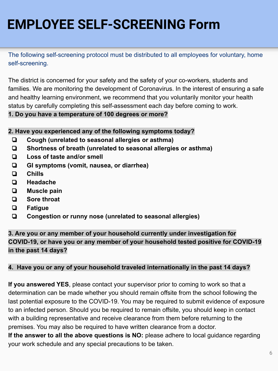## **EMPLOYEE SELF-SCREENING Form**

The following self-screening protocol must be distributed to all employees for voluntary, home self-screening.

The district is concerned for your safety and the safety of your co-workers, students and families. We are monitoring the development of Coronavirus. In the interest of ensuring a safe and healthy learning environment, we recommend that you voluntarily monitor your health status by carefully completing this self-assessment each day before coming to work.

### **1. Do you have a temperature of 100 degrees or more?**

### **2. Have you experienced any of the following symptoms today?**

- ❏ **Cough (unrelated to seasonal allergies or asthma)**
- ❏ **Shortness of breath (unrelated to seasonal allergies or asthma)**
- ❏ **Loss of taste and/or smell**
- ❏ **GI symptoms (vomit, nausea, or diarrhea)**
- ❏ **Chills**
- ❏ **Headache**
- ❏ **Muscle pain**
- ❏ **Sore throat**
- ❏ **Fatigue**
- ❏ **Congestion or runny nose (unrelated to seasonal allergies)**

## **3. Are you or any member of your household currently under investigation for COVID-19, or have you or any member of your household tested positive for COVID-19 in the past 14 days?**

### **4. Have you or any of your household traveled internationally in the past 14 days?**

**If you answered YES**, please contact your supervisor prior to coming to work so that a determination can be made whether you should remain offsite from the school following the last potential exposure to the COVID-19. You may be required to submit evidence of exposure to an infected person. Should you be required to remain offsite, you should keep in contact with a building representative and receive clearance from them before returning to the premises. You may also be required to have written clearance from a doctor. **If the answer to all the above questions is NO:** please adhere to local guidance regarding your work schedule and any special precautions to be taken.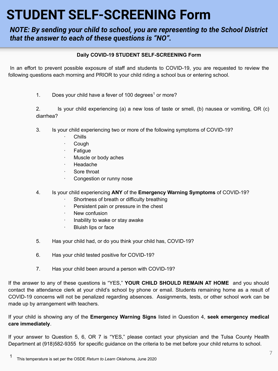## **STUDENT SELF-SCREENING Form**

### *NOTE: By sending your child to school, you are representing to the School District that the answer to each of these questions is "NO".*

#### **Daily COVID-19 STUDENT SELF-SCREENING Form**

In an effort to prevent possible exposure of staff and students to COVID-19, you are requested to review the following questions each morning and PRIOR to your child riding a school bus or entering school.

1. Does your child have a fever of 100 degrees<sup>1</sup> or more?

2. Is your child experiencing (a) a new loss of taste or smell, (b) nausea or vomiting, OR (c) diarrhea?

- 3. Is your child experiencing two or more of the following symptoms of COVID-19?
	- · Chills
	- · Cough
	- · Fatigue
	- Muscle or body aches
	- · Headache
	- · Sore throat
	- Congestion or runny nose
- 4. Is your child experiencing **ANY** of the **Emergency Warning Symptoms** of COVID-19?
	- Shortness of breath or difficulty breathing
	- · Persistent pain or pressure in the chest
	- · New confusion
	- · Inability to wake or stay awake
	- · Bluish lips or face
- 5. Has your child had, or do you think your child has, COVID-19?
- 6. Has your child tested positive for COVID-19?
- 7. Has your child been around a person with COVID-19?

If the answer to any of these questions is "YES," **YOUR CHILD SHOULD REMAIN AT HOME** and you should contact the attendance clerk at your child's school by phone or email. Students remaining home as a result of COVID-19 concerns will not be penalized regarding absences. Assignments, tests, or other school work can be made up by arrangement with teachers.

If your child is showing any of the **Emergency Warning Signs** listed in Question 4, **seek emergency medical care immediately**.

If your answer to Question 5, 6, OR 7 is "YES," please contact your physician and the Tulsa County Health Department at (918)582-9355 for specific guidance on the criteria to be met before your child returns to school.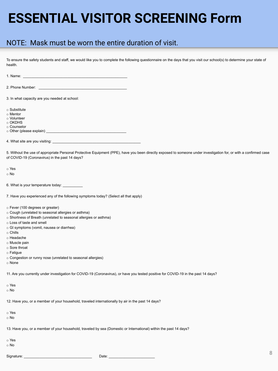## **ESSENTIAL VISITOR SCREENING Form**

## NOTE: Mask must be worn the entire duration of visit.

To ensure the safety students and staff, we would like you to complete the following questionnaire on the days that you visit our school(s) to determine your state of health.

1. Name: \_\_\_\_\_\_\_\_\_\_\_\_\_\_\_\_\_\_\_\_\_\_\_\_\_\_\_\_\_\_\_\_\_\_\_\_\_\_\_\_\_\_\_\_\_\_\_\_\_\_\_\_

2. Phone Number:

3. In what capacity are you needed at school:

o Substitute

o Mentor

o Volunteer

o OKDHS

o Counselor

 $\circ$  Other (please explain)  $\Box$ 

4. What site are you visiting:

5. Without the use of appropriate Personal Protective Equipment (PPE), have you been directly exposed to someone under investigation for, or with a confirmed case of COVID-19 (Coronavirus) in the past 14 days?

o Yes

o No

6. What is your temperature today:

7. Have you experienced any of the following symptoms today? (Select all that apply)

o Fever (100 degrees or greater)

- o Cough (unrelated to seasonal allergies or asthma)
- o Shortness of Breath (unrelated to seasonal allergies or asthma)
- o Loss of taste and smell

o GI symptoms (vomit, nausea or diarrhea)

o Chills

o Headache

o Muscle pain

o Sore throat

 $\circ$  Fatigue

o Congestion or runny nose (unrelated to seasonal allergies)

o None

11. Are you currently under investigation for COVID-19 (Coronavirus), or have you tested positive for COVID-19 in the past 14 days?

o Yes

o No

12. Have you, or a member of your household, traveled internationally by air in the past 14 days?

o Yes

o No

13. Have you, or a member of your household, traveled by sea (Domestic or International) within the past 14 days?

o Yes

o No

Signature: \_\_\_\_\_\_\_\_\_\_\_\_\_\_\_\_\_\_\_\_\_\_\_\_\_\_\_\_\_\_\_\_\_\_ Date: \_\_\_\_\_\_\_\_\_\_\_\_\_\_\_\_\_\_\_\_\_\_\_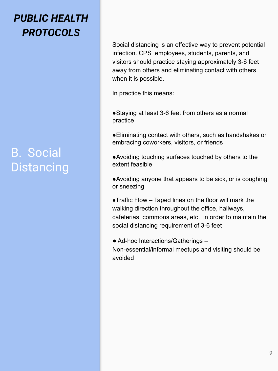## *PUBLIC HEALTH PROTOCOLS*

## B. Social **Distancing**

Social distancing is an effective way to prevent potential infection. CPS employees, students, parents, and visitors should practice staying approximately 3-6 feet away from others and eliminating contact with others when it is possible.

In practice this means:

■Staying at least 3-6 feet from others as a normal practice

●Eliminating contact with others, such as handshakes or embracing coworkers, visitors, or friends

●Avoiding touching surfaces touched by others to the extent feasible

●Avoiding anyone that appears to be sick, or is coughing or sneezing

●Traffic Flow – Taped lines on the floor will mark the walking direction throughout the office, hallways, cafeterias, commons areas, etc. in order to maintain the social distancing requirement of 3-6 feet

● Ad-hoc Interactions/Gatherings – Non-essential/informal meetups and visiting should be avoided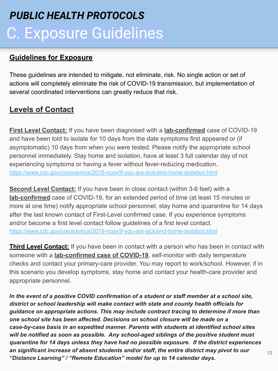## C. Exposure Guidelines *PUBLIC HEALTH PROTOCOLS*

## **Guidelines for Exposure**

These guidelines are intended to mitigate, not eliminate, risk. No single action or set of actions will completely eliminate the risk of COVID-19 transmission, but implementation of several coordinated interventions can greatly reduce that risk.

## **Levels of Contact**

**First Level Contact:** If you have been diagnosed with a **lab-confirmed** case of COVID-19 and have been told to isolate for 10 days from the date symptoms first appeared or (if asymptomatic) 10 days from when you were tested. Please notify the appropriate school personnel immediately. Stay home and isolation, have at least 3 full calendar day of not experiencing symptoms or having a fever without fever-reducing medication. <https://www.cdc.gov/coronavirus/2019-ncov/if-you-are-sick/end-home-isolation.html>

**Second Level Contact:** If you have been in close contact (within 3-6 feet) with a **lab-confirmed** case of COVID-19, for an extended period of time (at least 15 minutes or more at one time) notify appropriate school personnel, stay home and quarantine for 14 days after the last known contact of First-Level confirmed case. If you experience symptoms and/or become a first level contact follow guidelines of a first level contact. <https://www.cdc.gov/coronavirus/2019-ncov/if-you-are-sick/end-home-isolation.html>

**Third Level Contact:** If you have been in contact with a person who has been in contact with someone with a **lab-confirmed case of COVID-19**, self-monitor with daily temperature checks and contact your primary-care provider. You may report to work/school. However, if in this scenario you develop symptoms, stay home and contact your health-care provider and appropriate personnel.

*In the event of a positive COVID confirmation of a student or staff member at a school site, district or school leadership will make contact with state and county health officials for guidance on appropriate actions. This may include contract tracing to determine if more than one school site has been affected. Decisions on school closure will be made on a case-by-case basis in an expedited manner. Parents with students at identified school sites will be notified as soon as possible. Any school-aged siblings of the positive student must quarantine for 14 days unless they have had no possible exposure. If the district experiences an significant increase of absent students and/or staff, the entire district may pivot to our "Distance Learning" / "Remote Education" model for up to 14 calendar days.*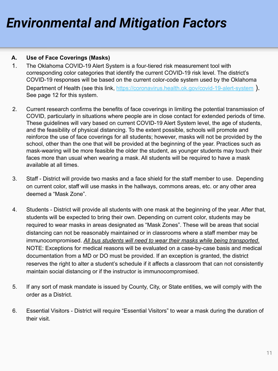## *Environmental and Mitigation Factors*

### **A. Use of Face Coverings (Masks)**

- 1. The Oklahoma COVID-19 Alert System is a four-tiered risk measurement tool with corresponding color categories that identify the current COVID-19 risk level. The district's COVID-19 responses will be based on the current color-code system used by the Oklahoma Department of Health (see this link, <https://coronavirus.health.ok.gov/covid-19-alert-system>). See page 12 for this system.
- 2. Current research confirms the benefits of face coverings in limiting the potential transmission of COVID, particularly in situations where people are in close contact for extended periods of time. These guidelines will vary based on current COVID-19 Alert System level, the age of students, and the feasibility of physical distancing. To the extent possible, schools will promote and reinforce the use of face coverings for all students; however, masks will not be provided by the school, other than the one that will be provided at the beginning of the year. Practices such as mask-wearing will be more feasible the older the student, as younger students may touch their faces more than usual when wearing a mask. All students will be required to have a mask available at all times.
- 3. Staff District will provide two masks and a face shield for the staff member to use. Depending on current color, staff will use masks in the hallways, commons areas, etc. or any other area deemed a "Mask Zone".
- 4. Students District will provide all students with one mask at the beginning of the year. After that, students will be expected to bring their own. Depending on current color, students may be required to wear masks in areas designated as "Mask Zones". These will be areas that social distancing can not be reasonably maintained or in classrooms where a staff member may be immunocompromised. *All bus students will need to wear their masks while being transported*. NOTE: Exceptions for medical reasons will be evaluated on a case-by-case basis and medical documentation from a MD or DO must be provided. If an exception is granted, the district reserves the right to alter a student's schedule if it affects a classroom that can not consistently maintain social distancing or if the instructor is immunocompromised.
- 5. If any sort of mask mandate is issued by County, City, or State entities, we will comply with the order as a District.
- 6. Essential Visitors District will require "Essential Visitors" to wear a mask during the duration of their visit.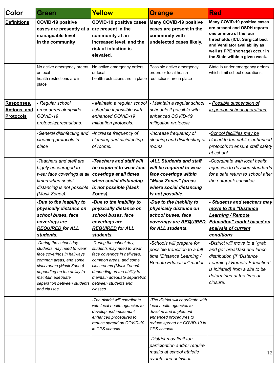| Color                                                 | Green                                                                                                                                                                                                                                       | Yellow                                                                                                                                                                                                                                      | <b>Orange</b>                                                                                                                                                     | <b>Red</b>                                                                                                                                                                                                                      |
|-------------------------------------------------------|---------------------------------------------------------------------------------------------------------------------------------------------------------------------------------------------------------------------------------------------|---------------------------------------------------------------------------------------------------------------------------------------------------------------------------------------------------------------------------------------------|-------------------------------------------------------------------------------------------------------------------------------------------------------------------|---------------------------------------------------------------------------------------------------------------------------------------------------------------------------------------------------------------------------------|
| <b>Definitions</b>                                    | <b>COVID-19 positive</b><br>cases are presently at a<br>manageable level<br>in the community                                                                                                                                                | <b>COVID-19 positive cases</b><br>are present in the<br>community at an<br>increased level, and the<br>risk of infection is<br>elevated.                                                                                                    | <b>Many COVID-19 positive</b><br>cases are present in the<br>community with<br>undetected cases likely.                                                           | Many COVID-19 positive cases<br>are present and OSDH reports<br>one or more of the four<br>thresholds (ICU, Surgical bed,<br>and Ventilator availability as<br>well as PPE shortage) occur in<br>the State within a given week. |
|                                                       | No active emergency orders<br>or local<br>health restrictions are in<br>place                                                                                                                                                               | No active emergency orders<br>or local<br>health restrictions are in place                                                                                                                                                                  | Possible active emergency<br>orders or local health<br>restrictions are in place                                                                                  | State is under emergency orders<br>which limit school operations.                                                                                                                                                               |
|                                                       |                                                                                                                                                                                                                                             |                                                                                                                                                                                                                                             |                                                                                                                                                                   |                                                                                                                                                                                                                                 |
| Responses.<br><b>Actions, and</b><br><b>Protocols</b> | - Regular school<br>procedures alongside<br>COVID-19<br>protocols/precautions.                                                                                                                                                              | - Maintain a regular school<br>schedule if possible with<br>enhanced COVID-19<br>mitigation protocols.                                                                                                                                      | - Maintain a regular school<br>schedule if possible with<br>enhanced COVID-19<br>mitigation protocols.                                                            | Possible suspension of<br>in-person school operations.                                                                                                                                                                          |
|                                                       | -General disinfecting and<br>cleaning protocols in<br>place                                                                                                                                                                                 | -Increase frequency of<br>cleaning and disinfecting<br>of rooms.                                                                                                                                                                            | -Increase frequency of<br>cleaning and disinfecting of<br>rooms.                                                                                                  | - <u>School facilities may be</u><br>closed to the public; enhanced<br>protocols to ensure staff safety<br>at school.                                                                                                           |
|                                                       | -Teachers and staff are<br>highly encouraged to<br>wear face coverings at all<br>times when social<br>distancing is not possible<br>(Mask Zones)                                                                                            | -Teachers and staff will<br>be required to wear face<br>coverings at all times<br>when social distancing<br>is not possible (Mask<br>Zones).                                                                                                | -ALL Students and staff<br>will be required to wear<br>face coverings within<br>"Mask Zones" (areas<br>where social distancing<br>is not possible.                | -Coordinate with local health<br>agencies to develop standards<br>for a safe return to school after<br>the outbreak subsides.                                                                                                   |
|                                                       | -Due to the inability to<br>physically distance on<br>school buses, face<br>coverings are<br><b>REQUIRED for ALL</b><br>students.                                                                                                           | -Due to the inability to<br>physically distance on<br>school buses, face<br>coverings are<br><b>REQUIRED</b> for ALL<br>students.                                                                                                           | -Due to the inability to<br>physically distance on<br>school buses, face<br>coverings are REQUIRED<br>for ALL students.                                           | - Students and teachers may<br>move to the "Distance<br>Learning / Remote<br><b>Education" model based on</b><br>analysis of current<br>conditions.                                                                             |
|                                                       | -During the school day,<br>students may need to wear<br>face coverings in hallways,<br>common areas, and some<br>classrooms (Mask Zones)<br>depending on the ability to<br>maintain adequate<br>separation between students<br>and classes. | -During the school day,<br>students may need to wear<br>face coverings in hallways,<br>common areas, and some<br>classrooms (Mask Zones)<br>depending on the ability to<br>maintain adequate separation<br>between students and<br>classes. | -Schools will prepare for<br>possible transition to a full<br>time "Distance Learning /<br>Remote Education" model.                                               | -District will move to a "grab<br>and go" breakfast and lunch<br>distribution (If "Distance<br>Learning / Remote Education"<br>is initiated) from a site to be<br>determined at the time of<br>closure.                         |
|                                                       |                                                                                                                                                                                                                                             | -The district will coordinate<br>with local health agencies to<br>develop and implement<br>enhanced procedures to<br>reduce spread on COVID-19<br>in CPS schools.                                                                           | -The district will coordinate with<br>local health agencies to<br>develop and implement<br>enhanced procedures to<br>reduce spread on COVID-19 in<br>CPS schools. |                                                                                                                                                                                                                                 |
|                                                       |                                                                                                                                                                                                                                             |                                                                                                                                                                                                                                             | -District may limit fan<br>participation and/or require<br>masks at school athletic<br>events and activities.                                                     | 12                                                                                                                                                                                                                              |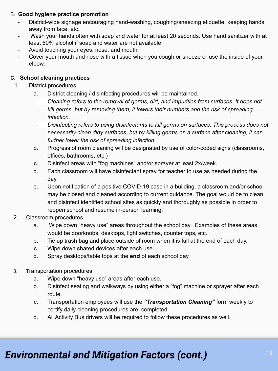#### B. **Good hygiene practice promotion**

- District-wide signage encouraging hand-washing, coughing/sneezing etiquette, keeping hands away from face, etc.
- Wash your hands often with soap and water for at least 20 seconds. Use hand sanitizer with at least 60% alcohol if soap and water are not available
- Avoid touching your eyes, nose, and mouth
- Cover your mouth and nose with a tissue when you cough or sneeze or use the inside of your elbow.

#### **C. School cleaning practices**

- 1. District procedures
	- a. District cleaning / disinfecting procedures will be maintained.
		- *- Cleaning refers to the removal of germs, dirt, and impurities from surfaces. It does not kill germs, but by removing them, it lowers their numbers and the risk of spreading infection.*
		- *- Disinfecting refers to using disinfectants to kill germs on surfaces. This process does not necessarily clean dirty surfaces, but by killing germs on a surface after cleaning, it can further lower the risk of spreading infection.*
	- b. Progress of room cleaning will be designated by use of color-coded signs (classrooms, offices, bathrooms, etc.)
	- c. Disinfect areas with "fog machines" and/or sprayer at least 2x/week.
	- d. Each classroom will have disinfectant spray for teacher to use as needed during the day.
	- e. Upon notification of a positive COVID-19 case in a building, a classroom and/or school may be closed and cleaned according to current guidance. The goal would be to clean and disinfect identified school sites as quickly and thoroughly as possible in order to reopen school and resume in-person learning.
- 2. Classroom procedures
	- a. Wipe down "heavy use" areas throughout the school day. Examples of these areas would be doorknobs, desktops, light switches, counter tops, etc.
	- b. Tie up trash bag and place outside of room when it is full at the end of each day.
	- c. Wipe down shared devices after each use.
	- d. Spray desktops/table tops at the **end** of each school day.
- 3. Transportation procedures
	- a. Wipe down "heavy use" areas after each use.
	- b. Disinfect seating and walkways by using either a "fog" machine or sprayer after each route.
	- c. Transportation employees will use the *"Transportation Cleaning"* form weekly to certify daily cleaning procedures are completed.
	- d. All Activity Bus drivers will be required to follow these procedures as well.

## <sup>13</sup> *Environmental and Mitigation Factors (cont.)*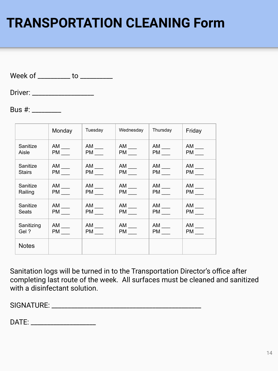## **TRANSPORTATION CLEANING Form**

Week of \_\_\_\_\_\_\_\_\_\_ to \_\_\_\_\_\_\_\_\_\_

Driver: \_\_\_\_\_\_\_\_\_\_\_\_\_\_\_\_\_\_\_

Bus #: \_\_\_\_\_\_\_\_\_

|               | Monday              | Tuesday             | Wednesday           | Thursday            | Friday              |
|---------------|---------------------|---------------------|---------------------|---------------------|---------------------|
| Sanitize      | $AM$ <sub>---</sub> | $AM$ <sub>---</sub> | $AM$ <sub>---</sub> | $AM$ <sub>---</sub> | $AM$ ___            |
| Aisle         |                     | $PM$ <sub>___</sub> | $PM$ <sub>___</sub> | <b>PM</b>           | <b>PM</b>           |
| Sanitize      | $AM$ ____           | $AM$ ___            | $AM$ <sub>---</sub> | $AM$ ____           | $AM$ ____           |
| <b>Stairs</b> | $PM$ <sub>___</sub> | $PM$ <sub>___</sub> | $PM$ <sub>---</sub> | $PM$ ____           | <b>PM</b>           |
| Sanitize      | $AM$ ___            | $AM$ <sub>---</sub> | $AM$ <sub>---</sub> | $AM$ ___            | $AM$ ___            |
| Railing       | <b>PM</b>           | <b>PM</b>           | $PM$ ____           | $PM$ ____           | $PM$ ____           |
| Sanitize      | $AM$ <sub>---</sub> | $AM$ <sub>---</sub> | $AM$ <sub>---</sub> | $AM$ <sub>---</sub> | $AM$ <sub>---</sub> |
| Seats         | <b>PM</b>           | PM                  | PM <sub>2</sub>     | <b>PM</b>           | <b>PM</b>           |
| Sanitizing    | $AM$ <sub>---</sub> | $AM$ ___            | $AM$ ___            | $AM$ <sub>---</sub> | $AM$ ___            |
| Gel?          |                     | $PM$ <sub>___</sub> | $PM$ <sub>---</sub> | <b>PM</b>           | <b>PM</b>           |
| <b>Notes</b>  |                     |                     |                     |                     |                     |

Sanitation logs will be turned in to the Transportation Director's office after completing last route of the week. All surfaces must be cleaned and sanitized with a disinfectant solution.

SIGNATURE: \_\_\_\_\_\_\_\_\_\_\_\_\_\_\_\_\_\_\_\_\_\_\_\_\_\_\_\_\_\_\_\_\_\_\_\_\_\_\_\_\_\_\_\_\_\_

DATE: \_\_\_\_\_\_\_\_\_\_\_\_\_\_\_\_\_\_\_\_\_\_\_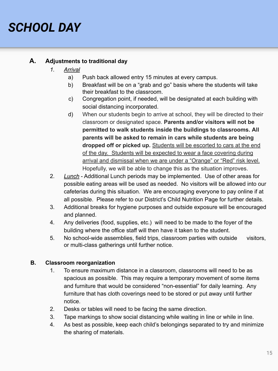## *SCHOOL DAY*

### **A. Adjustments to traditional day**

- *1. Arrival*
	- a) Push back allowed entry 15 minutes at every campus.
	- b) Breakfast will be on a "grab and go" basis where the students will take their breakfast to the classroom.
	- c) Congregation point, if needed, will be designated at each building with social distancing incorporated.
	- d) When our students begin to arrive at school, they will be directed to their classroom or designated space. **Parents and/or visitors will not be permitted to walk students inside the buildings to classrooms. All parents will be asked to remain in cars while students are being dropped off or picked up.** Students will be escorted to cars at the end of the day. Students will be expected to wear a face covering during arrival and dismissal when we are under a "Orange" or "Red" risk level. Hopefully, we will be able to change this as the situation improves.
- 2. *Lunch* Additional Lunch periods may be implemented. Use of other areas for possible eating areas will be used as needed. No visitors will be allowed into our cafeterias during this situation. We are encouraging everyone to pay online if at all possible. Please refer to our District's Child Nutrition Page for further details.
- 3. Additional breaks for hygiene purposes and outside exposure will be encouraged and planned.
- 4. Any deliveries (food, supplies, etc.) will need to be made to the foyer of the building where the office staff will then have it taken to the student.
- 5. No school-wide assemblies, field trips, classroom parties with outside visitors, or multi-class gatherings until further notice.

#### **B. Classroom reorganization**

- 1. To ensure maximum distance in a classroom, classrooms will need to be as spacious as possible. This may require a temporary movement of some items and furniture that would be considered "non-essential" for daily learning. Any furniture that has cloth coverings need to be stored or put away until further notice.
- 2. Desks or tables will need to be facing the same direction.
- 3. Tape markings to show social distancing while waiting in line or while in line.
- 4. As best as possible, keep each child's belongings separated to try and minimize the sharing of materials.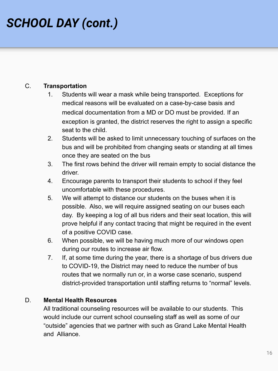## *SCHOOL DAY (cont.)*

### C. **Transportation**

- 1. Students will wear a mask while being transported. Exceptions for medical reasons will be evaluated on a case-by-case basis and medical documentation from a MD or DO must be provided. If an exception is granted, the district reserves the right to assign a specific seat to the child.
- 2. Students will be asked to limit unnecessary touching of surfaces on the bus and will be prohibited from changing seats or standing at all times once they are seated on the bus
- 3. The first rows behind the driver will remain empty to social distance the driver.
- 4. Encourage parents to transport their students to school if they feel uncomfortable with these procedures.
- 5. We will attempt to distance our students on the buses when it is possible. Also, we will require assigned seating on our buses each day. By keeping a log of all bus riders and their seat location, this will prove helpful if any contact tracing that might be required in the event of a positive COVID case.
- 6. When possible, we will be having much more of our windows open during our routes to increase air flow.
- 7. If, at some time during the year, there is a shortage of bus drivers due to COVID-19, the District may need to reduce the number of bus routes that we normally run or, in a worse case scenario, suspend district-provided transportation until staffing returns to "normal" levels.

### D. **Mental Health Resources**

All traditional counseling resources will be available to our students. This would include our current school counseling staff as well as some of our "outside" agencies that we partner with such as Grand Lake Mental Health and Alliance.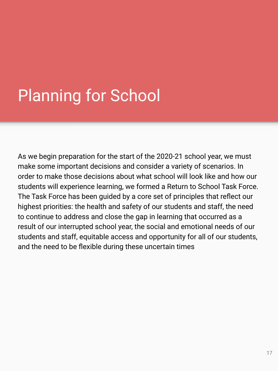# Planning for School

As we begin preparation for the start of the 2020-21 school year, we must make some important decisions and consider a variety of scenarios. In order to make those decisions about what school will look like and how our students will experience learning, we formed a Return to School Task Force. The Task Force has been guided by a core set of principles that reflect our highest priorities: the health and safety of our students and staff, the need to continue to address and close the gap in learning that occurred as a result of our interrupted school year, the social and emotional needs of our students and staff, equitable access and opportunity for all of our students, and the need to be flexible during these uncertain times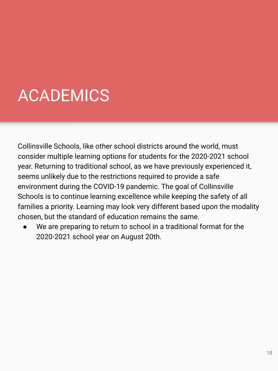# ACADEMICS

Collinsville Schools, like other school districts around the world, must consider multiple learning options for students for the 2020-2021 school year. Returning to traditional school, as we have previously experienced it, seems unlikely due to the restrictions required to provide a safe environment during the COVID-19 pandemic. The goal of Collinsville Schools is to continue learning excellence while keeping the safety of all families a priority. Learning may look very different based upon the modality chosen, but the standard of education remains the same.

We are preparing to return to school in a traditional format for the 2020-2021 school year on August 20th.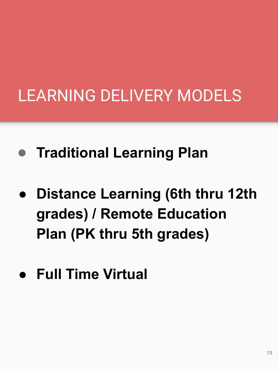- **Traditional Learning Plan**
- **● Distance Learning (6th thru 12th grades) / Remote Education Plan (PK thru 5th grades)**
- **● Full Time Virtual**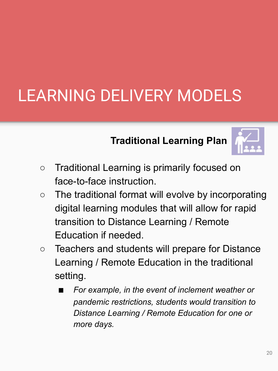## **Traditional Learning Plan**



- **○** Traditional Learning is primarily focused on face-to-face instruction.
- **○** The traditional format will evolve by incorporating digital learning modules that will allow for rapid transition to Distance Learning / Remote Education if needed.
- **○** Teachers and students will prepare for Distance Learning / Remote Education in the traditional setting.
	- **■** *For example, in the event of inclement weather or pandemic restrictions, students would transition to Distance Learning / Remote Education for one or more days.*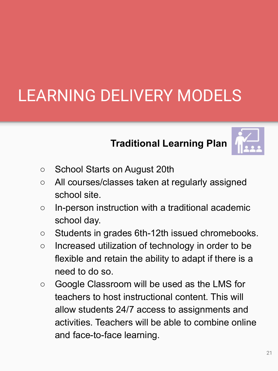## **Traditional Learning Plan**



- **○** School Starts on August 20th
- All courses/classes taken at regularly assigned school site.
- o In-person instruction with a traditional academic school day.
- Students in grades 6th-12th issued chromebooks.
- Increased utilization of technology in order to be flexible and retain the ability to adapt if there is a need to do so.
- Google Classroom will be used as the LMS for teachers to host instructional content. This will allow students 24/7 access to assignments and activities. Teachers will be able to combine online and face-to-face learning.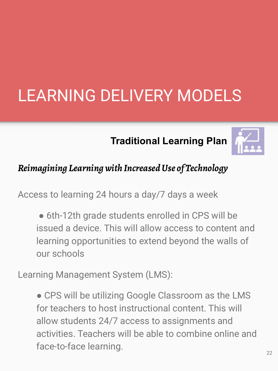## **Traditional Learning Plan**



## *Reimagining Learning with Increased Use of Technology*

Access to learning 24 hours a day/7 days a week

• 6th-12th grade students enrolled in CPS will be issued a device. This will allow access to content and learning opportunities to extend beyond the walls of our schools

Learning Management System (LMS):

• CPS will be utilizing Google Classroom as the LMS for teachers to host instructional content. This will allow students 24/7 access to assignments and activities. Teachers will be able to combine online and face-to-face learning.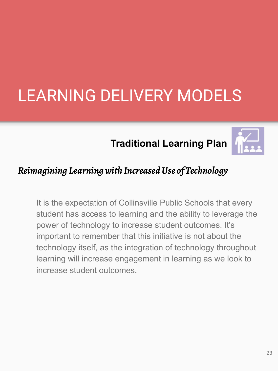## **Traditional Learning Plan**



## *Reimagining Learning with Increased Use of Technology*

It is the expectation of Collinsville Public Schools that every student has access to learning and the ability to leverage the power of technology to increase student outcomes. It's important to remember that this initiative is not about the technology itself, as the integration of technology throughout learning will increase engagement in learning as we look to increase student outcomes.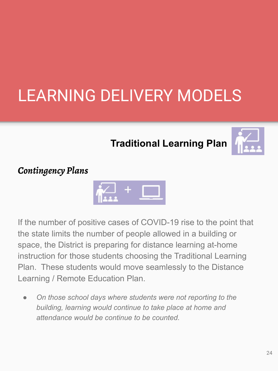## **Traditional Learning Plan**



## *Contingency Plans*



If the number of positive cases of COVID-19 rise to the point that the state limits the number of people allowed in a building or space, the District is preparing for distance learning at-home instruction for those students choosing the Traditional Learning Plan. These students would move seamlessly to the Distance Learning / Remote Education Plan.

*● On those school days where students were not reporting to the building, learning would continue to take place at home and attendance would be continue to be counted.*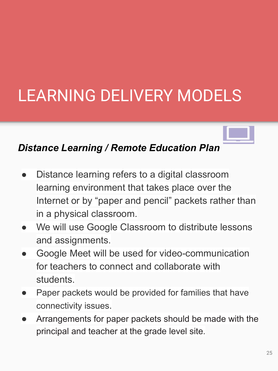## *Distance Learning / Remote Education Plan*

- Distance learning refers to a digital classroom learning environment that takes place over the Internet or by "paper and pencil" packets rather than in a physical classroom.
- We will use Google Classroom to distribute lessons and assignments.
- Google Meet will be used for video-communication for teachers to connect and collaborate with students.
- Paper packets would be provided for families that have connectivity issues.
- Arrangements for paper packets should be made with the principal and teacher at the grade level site.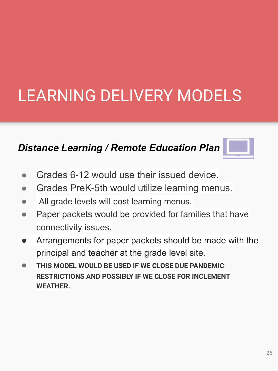## *Distance Learning / Remote Education Plan*



- Grades 6-12 would use their issued device.
- Grades PreK-5th would utilize learning menus.
- All grade levels will post learning menus.
- Paper packets would be provided for families that have connectivity issues.
- Arrangements for paper packets should be made with the principal and teacher at the grade level site.
- **THIS MODEL WOULD BE USED IF WE CLOSE DUE PANDEMIC RESTRICTIONS AND POSSIBLY IF WE CLOSE FOR INCLEMENT WEATHER.**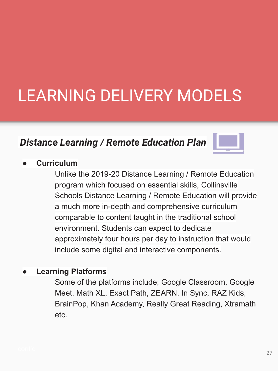## *Distance Learning / Remote Education Plan*



## **● Curriculum**

Unlike the 2019-20 Distance Learning / Remote Education program which focused on essential skills, Collinsville Schools Distance Learning / Remote Education will provide a much more in-depth and comprehensive curriculum comparable to content taught in the traditional school environment. Students can expect to dedicate approximately four hours per day to instruction that would include some digital and interactive components.

## **● Learning Platforms**

Some of the platforms include; Google Classroom, Google Meet, Math XL, Exact Path, ZEARN, In Sync, RAZ Kids, BrainPop, Khan Academy, Really Great Reading, Xtramath etc.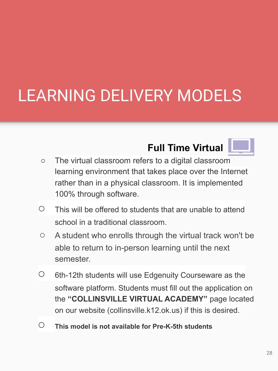## **Full Time Virtual**



- **○** The virtual classroom refers to a digital classroom learning environment that takes place over the Internet rather than in a physical classroom. It is implemented 100% through software.
- $\circ$  This will be offered to students that are unable to attend school in a traditional classroom.
- A student who enrolls through the virtual track won't be able to return to in-person learning until the next semester.
- $\circ$  6th-12th students will use Edgenuity Courseware as the software platform. Students must fill out the application on the **"COLLINSVILLE VIRTUAL ACADEMY"** page located on our website (collinsville.k12.ok.us) if this is desired.
- **This model is not available for Pre-K-5th students**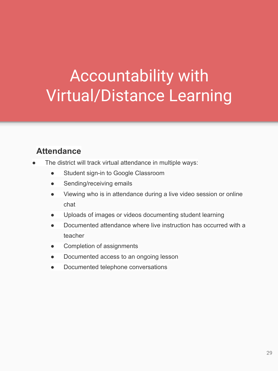## Accountability with Virtual/Distance Learning

## **Attendance**

- The district will track virtual attendance in multiple ways:
	- Student sign-in to Google Classroom
	- Sending/receiving emails
	- Viewing who is in attendance during a live video session or online chat
	- Uploads of images or videos documenting student learning
	- Documented attendance where live instruction has occurred with a teacher
	- Completion of assignments
	- Documented access to an ongoing lesson
	- Documented telephone conversations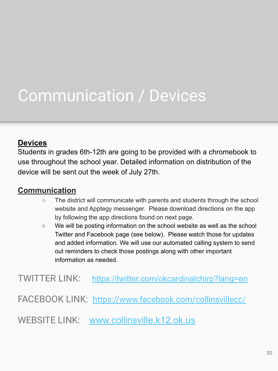## Communication / Devices

## **Devices**

Students in grades 6th-12th are going to be provided with a chromebook to use throughout the school year. Detailed information on distribution of the device will be sent out the week of July 27th.

## **Communication**

- $\circ$  The district will communicate with parents and students through the school website and Apptegy messenger. Please download directions on the app by following the app directions found on next page.
- We will be posting information on the school website as well as the school Twitter and Facebook page (see below). Please watch those for updates and added information. We will use our automated calling system to send out reminders to check those postings along with other important information as needed.

TWITTER LINK: <https://twitter.com/okcardinalchirp?lang=en>

FACEBOOK LINK: <https://www.facebook.com/collinsvillecc/>

WEBSITE LINK: [www.collinsville.k12.ok.us](http://www.collinsville.k12.ok.us)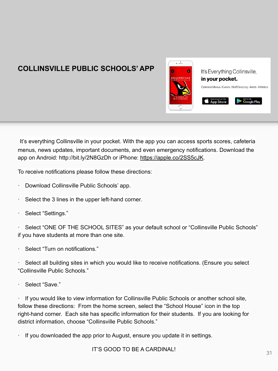## **COLLINSVILLE PUBLIC SCHOOLS' APP**



It's everything Collinsville in your pocket. With the app you can access sports scores, cafeteria menus, news updates, important documents, and even emergency notifications. Download the app on Android: http://bit.ly/2N8GzDh or iPhone: <https://apple.co/2SS5cJK>.

To receive notifications please follow these directions:

- · Download Collinsville Public Schools' app.
- Select the 3 lines in the upper left-hand corner.
- · Select "Settings."

Select "ONE OF THE SCHOOL SITES" as your default school or "Collinsville Public Schools" if you have students at more than one site.

Select "Turn on notifications."

Select all building sites in which you would like to receive notifications. (Ensure you select "Collinsville Public Schools."

· Select "Save."

If you would like to view information for Collinsville Public Schools or another school site, follow these directions: From the home screen, select the "School House" icon in the top right-hand corner. Each site has specific information for their students. If you are looking for district information, choose "Collinsville Public Schools."

If you downloaded the app prior to August, ensure you update it in settings.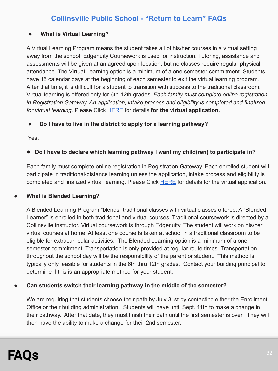## **Collinsville Public School - "Return to Learn" FAQs**

#### ● **What is Virtual Learning?**

A Virtual Learning Program means the student takes all of his/her courses in a virtual setting away from the school. Edgenuity Coursework is used for instruction. Tutoring, assistance and assessments will be given at an agreed upon location, but no classes require regular physical attendance. The Virtual Learning option is a minimum of a one semester commitment. Students have 15 calendar days at the beginning of each semester to exit the virtual learning program. After that time, it is difficult for a student to transition with success to the traditional classroom. Virtual learning is offered only for 6th-12th grades. *Each family must complete online registration in Registration Gateway. An application, intake process and eligibility is completed and finalized for virtual learning.* Please Click [HERE](https://www.collinsville.k12.ok.us/o/cva) for details **for the virtual application.**

#### ● **Do I have to live in the district to apply for a learning pathway?**

Yes**.**

#### ● Do I have to declare which learning pathway I want my child(ren) to participate in?

Each family must complete online registration in Registration Gateway. Each enrolled student will participate in traditional-distance learning unless the application, intake process and eligibility is completed and finalized virtual learning. Please Click [HERE](https://www.collinsville.k12.ok.us/o/cva) for details for the virtual application**.**

#### **● What is Blended Learning?**

A Blended Learning Program "blends" traditional classes with virtual classes offered. A "Blended Learner" is enrolled in both traditional and virtual courses. Traditional coursework is directed by a Collinsville instructor. Virtual coursework is through Edgenuity. The student will work on his/her virtual courses at home. At least one course is taken at school in a traditional classroom to be eligible for extracurricular activities. The Blended Learning option is a minimum of a one semester commitment. Transportation is only provided at regular route times. Transportation throughout the school day will be the responsibility of the parent or student. This method is typically only feasible for students in the 6th thru 12th grades. Contact your building principal to determine if this is an appropriate method for your student.

#### **● Can students switch their learning pathway in the middle of the semester?**

We are requiring that students choose their path by July 31st by contacting either the Enrollment Office or their building administration. Students will have until Sept. 11th to make a change in their pathway. After that date, they must finish their path until the first semester is over. They will then have the ability to make a change for their 2nd semester.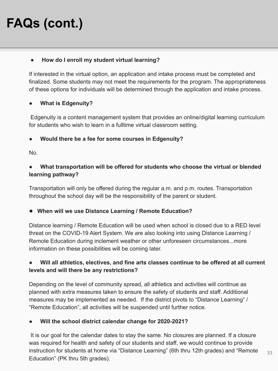## **FAQs (cont.)**

#### ● **How do I enroll my student virtual learning?**

If interested in the virtual option, an application and intake process must be completed and finalized. Some students may not meet the requirements for the program. The appropriateness of these options for individuals will be determined through the application and intake process.

### ● **What is Edgenuity?**

 Edgenuity is a content management system that provides an online/digital learning curriculum for students who wish to learn in a fulltime virtual classroom setting.

#### ● **Would there be a fee for some courses in Edgenuity?**

No.

### What transportation will be offered for students who choose the virtual or blended **learning pathway?**

Transportation will only be offered during the regular a.m. and p.m. routes. Transportation throughout the school day will be the responsibility of the parent or student.

#### ● **When will we use Distance Learning / Remote Education?**

Distance learning / Remote Education will be used when school is closed due to a RED level threat on the COVID-19 Alert System. We are also looking into using Distance Learning / Remote Education during inclement weather or other unforeseen circumstances...more information on these possibilities will be coming later.

### ● **Will all athletics, electives, and fine arts classes continue to be offered at all current levels and will there be any restrictions?**

Depending on the level of community spread, all athletics and activities will continue as planned with extra measures taken to ensure the safety of students and staff. Additional measures may be implemented as needed. If the district pivots to "Distance Learning" / "Remote Education", all activities will be suspended until further notice.

#### ● **Will the school district calendar change for 2020-2021?**

 It is our goal for the calendar dates to stay the same. No closures are planned. If a closure was required for health and safety of our students and staff, we would continue to provide instruction for students at home via "Distance Learning" (6th thru 12th grades) and "Remote Education" (PK thru 5th grades).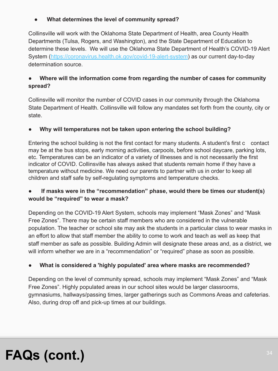### **● What determines the level of community spread?**

Collinsville will work with the Oklahoma State Department of Health, area County Health Departments (Tulsa, Rogers, and Washington), and the State Department of Education to determine these levels. We will use the Oklahoma State Department of Health's COVID-19 Alert System ([https://coronavirus.health.ok.gov/covid-19-alert-system\)](https://coronavirus.health.ok.gov/covid-19-alert-system) as our current day-to-day determination source.

### Where will the information come from regarding the number of cases for community **spread?**

Collinsville will monitor the number of COVID cases in our community through the Oklahoma State Department of Health. Collinsville will follow any mandates set forth from the county, city or state.

### ● **Why will temperatures not be taken upon entering the school building?**

Entering the school building is not the first contact for many students. A student's first c contact may be at the bus stops, early morning activities, carpools, before school daycare, parking lots, etc. Temperatures can be an indicator of a variety of illnesses and is not necessarily the first indicator of COVID. Collinsville has always asked that students remain home if they have a temperature without medicine. We need our parents to partner with us in order to keep all children and staff safe by self-regulating symptoms and temperature checks.

### ● **If masks were in the "recommendation" phase, would there be times our student(s) would be "required" to wear a mask?**

Depending on the COVID-19 Alert System, schools may implement "Mask Zones" and "Mask Free Zones". There may be certain staff members who are considered in the vulnerable population. The teacher or school site may ask the students in a particular class to wear masks in an effort to allow that staff member the ability to come to work and teach as well as keep that staff member as safe as possible. Building Admin will designate these areas and, as a district, we will inform whether we are in a "recommendation" or "required" phase as soon as possible.

#### ● **What is considered a 'highly populated' area where masks are recommended?**

Depending on the level of community spread, schools may implement "Mask Zones" and "Mask Free Zones". Highly populated areas in our school sites would be larger classrooms, gymnasiums, hallways/passing times, larger gatherings such as Commons Areas and cafeterias. Also, during drop off and pick-up times at our buildings.

## **FAQs (cont.)**